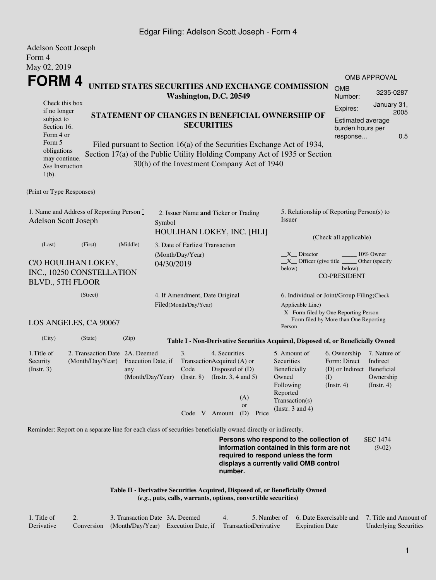## Edgar Filing: Adelson Scott Joseph - Form 4

| <b>Adelson Scott Joseph</b>                                                                                                                                                                                                                                                   |                                                                                                             |           |                                                                          |                                 |                                                                                              |                                                                                                                                                                                                                   |                                                                                  |                                                                                  |                                                                                                                              |  |
|-------------------------------------------------------------------------------------------------------------------------------------------------------------------------------------------------------------------------------------------------------------------------------|-------------------------------------------------------------------------------------------------------------|-----------|--------------------------------------------------------------------------|---------------------------------|----------------------------------------------------------------------------------------------|-------------------------------------------------------------------------------------------------------------------------------------------------------------------------------------------------------------------|----------------------------------------------------------------------------------|----------------------------------------------------------------------------------|------------------------------------------------------------------------------------------------------------------------------|--|
| Form 4                                                                                                                                                                                                                                                                        |                                                                                                             |           |                                                                          |                                 |                                                                                              |                                                                                                                                                                                                                   |                                                                                  |                                                                                  |                                                                                                                              |  |
| May 02, 2019                                                                                                                                                                                                                                                                  |                                                                                                             |           |                                                                          |                                 |                                                                                              |                                                                                                                                                                                                                   |                                                                                  |                                                                                  | <b>OMB APPROVAL</b>                                                                                                          |  |
| FORM 4                                                                                                                                                                                                                                                                        | UNITED STATES SECURITIES AND EXCHANGE COMMISSION<br><b>OMB</b><br>Number:                                   | 3235-0287 |                                                                          |                                 |                                                                                              |                                                                                                                                                                                                                   |                                                                                  |                                                                                  |                                                                                                                              |  |
| Check this box                                                                                                                                                                                                                                                                |                                                                                                             |           | Washington, D.C. 20549                                                   |                                 | Expires:                                                                                     | January 31,                                                                                                                                                                                                       |                                                                                  |                                                                                  |                                                                                                                              |  |
| if no longer<br>subject to<br>Section 16.<br>Form 4 or                                                                                                                                                                                                                        |                                                                                                             |           |                                                                          | <b>SECURITIES</b>               | STATEMENT OF CHANGES IN BENEFICIAL OWNERSHIP OF                                              | Estimated average<br>burden hours per<br>response                                                                                                                                                                 | 2005<br>0.5                                                                      |                                                                                  |                                                                                                                              |  |
| Form 5<br>Filed pursuant to Section 16(a) of the Securities Exchange Act of 1934,<br>obligations<br>Section 17(a) of the Public Utility Holding Company Act of 1935 or Section<br>may continue.<br>30(h) of the Investment Company Act of 1940<br>See Instruction<br>$1(b)$ . |                                                                                                             |           |                                                                          |                                 |                                                                                              |                                                                                                                                                                                                                   |                                                                                  |                                                                                  |                                                                                                                              |  |
| (Print or Type Responses)                                                                                                                                                                                                                                                     |                                                                                                             |           |                                                                          |                                 |                                                                                              |                                                                                                                                                                                                                   |                                                                                  |                                                                                  |                                                                                                                              |  |
| Adelson Scott Joseph                                                                                                                                                                                                                                                          | 1. Name and Address of Reporting Person*                                                                    | Symbol    | 2. Issuer Name and Ticker or Trading<br>HOULIHAN LOKEY, INC. [HLI]       |                                 |                                                                                              | 5. Relationship of Reporting Person(s) to<br>Issuer                                                                                                                                                               |                                                                                  |                                                                                  |                                                                                                                              |  |
| (Last)                                                                                                                                                                                                                                                                        | (First)                                                                                                     | (Middle)  |                                                                          | 3. Date of Earliest Transaction |                                                                                              |                                                                                                                                                                                                                   | (Check all applicable)                                                           |                                                                                  |                                                                                                                              |  |
|                                                                                                                                                                                                                                                                               |                                                                                                             |           |                                                                          | (Month/Day/Year)                |                                                                                              | $X$ Director<br>10% Owner                                                                                                                                                                                         |                                                                                  |                                                                                  |                                                                                                                              |  |
| C/O HOULIHAN LOKEY,<br>04/30/2019<br>INC., 10250 CONSTELLATION<br><b>BLVD., 5TH FLOOR</b>                                                                                                                                                                                     |                                                                                                             |           |                                                                          |                                 |                                                                                              |                                                                                                                                                                                                                   | below)                                                                           | $X$ Officer (give title<br>Other (specify<br>below)<br><b>CO-PRESIDENT</b>       |                                                                                                                              |  |
| (Street)<br>4. If Amendment, Date Original<br>Filed(Month/Day/Year)<br>LOS ANGELES, CA 90067                                                                                                                                                                                  |                                                                                                             |           |                                                                          |                                 |                                                                                              | Applicable Line)                                                                                                                                                                                                  |                                                                                  |                                                                                  | 6. Individual or Joint/Group Filing(Check<br>_X_ Form filed by One Reporting Person<br>Form filed by More than One Reporting |  |
|                                                                                                                                                                                                                                                                               |                                                                                                             |           |                                                                          |                                 |                                                                                              |                                                                                                                                                                                                                   | Person                                                                           |                                                                                  |                                                                                                                              |  |
| (City)                                                                                                                                                                                                                                                                        | (State)                                                                                                     | (Zip)     |                                                                          |                                 |                                                                                              |                                                                                                                                                                                                                   | Table I - Non-Derivative Securities Acquired, Disposed of, or Beneficially Owned |                                                                                  |                                                                                                                              |  |
| 1. Title of<br>2. Transaction Date 2A. Deemed<br>Security<br>(Month/Day/Year)<br>$($ Instr. 3 $)$<br>any                                                                                                                                                                      |                                                                                                             |           | 3.<br>Execution Date, if<br>Code<br>(Month/Day/Year)<br>$($ Instr. 8 $)$ |                                 | 4. Securities<br>TransactionAcquired (A) or<br>Disposed of $(D)$<br>(Instr. $3, 4$ and $5$ ) |                                                                                                                                                                                                                   | 5. Amount of<br>Securities<br>Beneficially<br>Owned<br>Following<br>Reported     | 6. Ownership<br>Form: Direct<br>(D) or Indirect Beneficial<br>(I)<br>(Insert. 4) | 7. Nature of<br>Indirect<br>Ownership<br>$($ Instr. 4 $)$                                                                    |  |
|                                                                                                                                                                                                                                                                               |                                                                                                             |           |                                                                          | Code V Amount                   |                                                                                              | (A)<br><b>or</b><br>(D)<br>Price                                                                                                                                                                                  | Transaction(s)<br>(Instr. $3$ and $4$ )                                          |                                                                                  |                                                                                                                              |  |
|                                                                                                                                                                                                                                                                               | Reminder: Report on a separate line for each class of securities beneficially owned directly or indirectly. |           |                                                                          |                                 |                                                                                              |                                                                                                                                                                                                                   |                                                                                  |                                                                                  |                                                                                                                              |  |
|                                                                                                                                                                                                                                                                               |                                                                                                             |           |                                                                          |                                 |                                                                                              | Persons who respond to the collection of<br><b>SEC 1474</b><br>information contained in this form are not<br>$(9-02)$<br>required to respond unless the form<br>displays a currently valid OMB control<br>number. |                                                                                  |                                                                                  |                                                                                                                              |  |
|                                                                                                                                                                                                                                                                               |                                                                                                             |           |                                                                          |                                 |                                                                                              |                                                                                                                                                                                                                   |                                                                                  |                                                                                  |                                                                                                                              |  |

**Table II - Derivative Securities Acquired, Disposed of, or Beneficially Owned (***e.g.***, puts, calls, warrants, options, convertible securities)**

| 1. Title of | 3. Transaction Date 3A, Deemed                                        |  | 5. Number of 6. Date Exercisable and 7. Title and Amount of |                              |
|-------------|-----------------------------------------------------------------------|--|-------------------------------------------------------------|------------------------------|
| Derivative  | Conversion (Month/Day/Year) Execution Date, if Transaction Derivative |  | <b>Expiration Date</b>                                      | <b>Underlying Securities</b> |